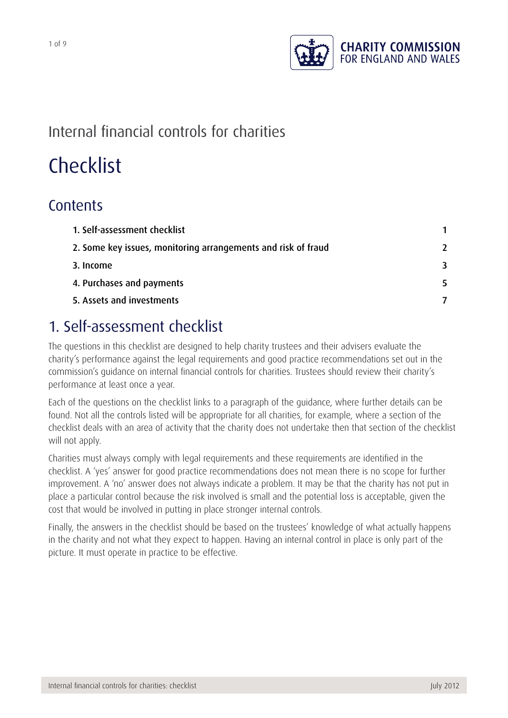

### Internal financial controls for charities

# **Checklist**

### **Contents**

| 1. Self-assessment checklist                                  | 1             |
|---------------------------------------------------------------|---------------|
| 2. Some key issues, monitoring arrangements and risk of fraud | $\mathcal{L}$ |
| 3. Income                                                     | 3             |
| 4. Purchases and payments                                     |               |
| 5. Assets and investments                                     |               |

### 1. Self-assessment checklist

The questions in this checklist are designed to help charity trustees and their advisers evaluate the charity's performance against the legal requirements and good practice recommendations set out in the commission's guidance on internal financial controls for charities. Trustees should review their charity's performance at least once a year.

Each of the questions on the checklist links to a paragraph of the guidance, where further details can be found. Not all the controls listed will be appropriate for all charities, for example, where a section of the checklist deals with an area of activity that the charity does not undertake then that section of the checklist will not apply.

Charities must always comply with legal requirements and these requirements are identified in the checklist. A 'yes' answer for good practice recommendations does not mean there is no scope for further improvement. A 'no' answer does not always indicate a problem. It may be that the charity has not put in place a particular control because the risk involved is small and the potential loss is acceptable, given the cost that would be involved in putting in place stronger internal controls.

Finally, the answers in the checklist should be based on the trustees' knowledge of what actually happens in the charity and not what they expect to happen. Having an internal control in place is only part of the picture. It must operate in practice to be effective.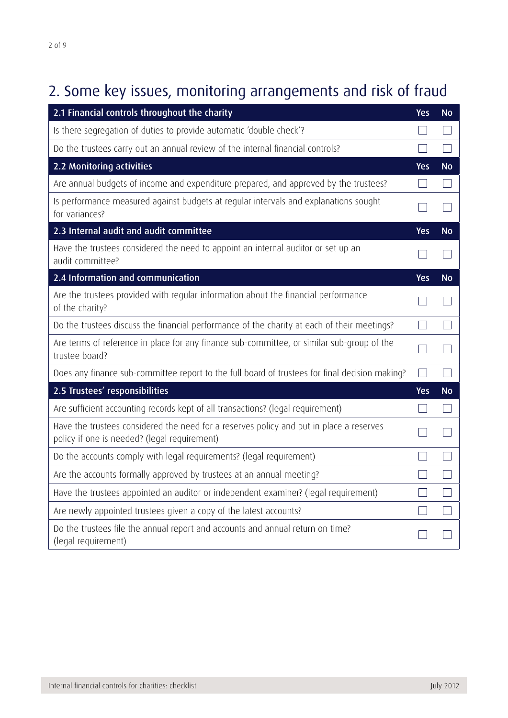## 2. Some key issues, monitoring arrangements and risk of fraud

| 2.1 Financial controls throughout the charity                                                                                           | <b>Yes</b> | <b>No</b> |
|-----------------------------------------------------------------------------------------------------------------------------------------|------------|-----------|
| Is there segregation of duties to provide automatic 'double check'?                                                                     |            |           |
| Do the trustees carry out an annual review of the internal financial controls?                                                          |            |           |
| 2.2 Monitoring activities                                                                                                               | <b>Yes</b> | <b>No</b> |
| Are annual budgets of income and expenditure prepared, and approved by the trustees?                                                    |            |           |
| Is performance measured against budgets at regular intervals and explanations sought<br>for variances?                                  |            |           |
| 2.3 Internal audit and audit committee                                                                                                  | <b>Yes</b> | <b>No</b> |
| Have the trustees considered the need to appoint an internal auditor or set up an<br>audit committee?                                   |            |           |
| 2.4 Information and communication                                                                                                       | <b>Yes</b> | <b>No</b> |
| Are the trustees provided with regular information about the financial performance<br>of the charity?                                   |            |           |
| Do the trustees discuss the financial performance of the charity at each of their meetings?                                             |            |           |
| Are terms of reference in place for any finance sub-committee, or similar sub-group of the<br>trustee board?                            |            |           |
| Does any finance sub-committee report to the full board of trustees for final decision making?                                          |            |           |
| 2.5 Trustees' responsibilities                                                                                                          | <b>Yes</b> | <b>No</b> |
| Are sufficient accounting records kept of all transactions? (legal requirement)                                                         |            |           |
| Have the trustees considered the need for a reserves policy and put in place a reserves<br>policy if one is needed? (legal requirement) |            |           |
| Do the accounts comply with legal requirements? (legal requirement)                                                                     |            |           |
| Are the accounts formally approved by trustees at an annual meeting?                                                                    |            |           |
| Have the trustees appointed an auditor or independent examiner? (legal requirement)                                                     |            |           |
| Are newly appointed trustees given a copy of the latest accounts?                                                                       |            |           |
| Do the trustees file the annual report and accounts and annual return on time?<br>(legal requirement)                                   |            |           |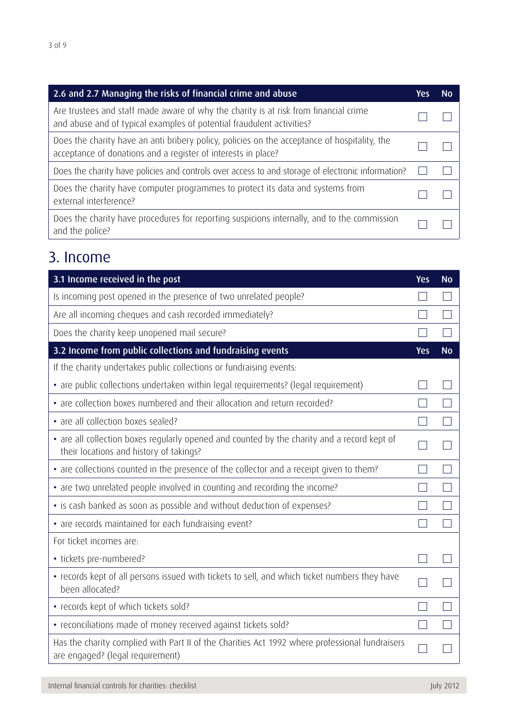| 2.6 and 2.7 Managing the risks of financial crime and abuse                                                                                                   | Yes | N٥ |
|---------------------------------------------------------------------------------------------------------------------------------------------------------------|-----|----|
| Are trustees and staff made aware of why the charity is at risk from financial crime<br>and abuse and of typical examples of potential fraudulent activities? |     |    |
| Does the charity have an anti bribery policy, policies on the acceptance of hospitality, the<br>acceptance of donations and a register of interests in place? |     |    |
| Does the charity have policies and controls over access to and storage of electronic information?                                                             |     |    |
| Does the charity have computer programmes to protect its data and systems from<br>external interference?                                                      |     |    |
| Does the charity have procedures for reporting suspicions internally, and to the commission<br>and the police?                                                |     |    |

#### 3. Income

| 3.1 Income received in the post                                                                                                        | <b>Yes</b> | <b>No</b> |
|----------------------------------------------------------------------------------------------------------------------------------------|------------|-----------|
| Is incoming post opened in the presence of two unrelated people?                                                                       |            |           |
| Are all incoming cheques and cash recorded immediately?                                                                                |            |           |
| Does the charity keep unopened mail secure?                                                                                            |            |           |
| 3.2 Income from public collections and fundraising events                                                                              | Yes        | <b>No</b> |
| If the charity undertakes public collections or fundraising events:                                                                    |            |           |
| • are public collections undertaken within legal requirements? (legal requirement)                                                     |            |           |
| • are collection boxes numbered and their allocation and return recorded?                                                              |            |           |
| • are all collection boxes sealed?                                                                                                     |            |           |
| • are all collection boxes regularly opened and counted by the charity and a record kept of<br>their locations and history of takings? |            |           |
| • are collections counted in the presence of the collector and a receipt given to them?                                                |            |           |
| • are two unrelated people involved in counting and recording the income?                                                              |            |           |
| • is cash banked as soon as possible and without deduction of expenses?                                                                |            |           |
| • are records maintained for each fundraising event?                                                                                   |            |           |
| For ticket incomes are:                                                                                                                |            |           |
| • tickets pre-numbered?                                                                                                                |            |           |
| • records kept of all persons issued with tickets to sell, and which ticket numbers they have<br>been allocated?                       |            |           |
| · records kept of which tickets sold?                                                                                                  |            |           |
| · reconciliations made of money received against tickets sold?                                                                         |            |           |
| Has the charity complied with Part II of the Charities Act 1992 where professional fundraisers<br>are engaged? (legal requirement)     |            |           |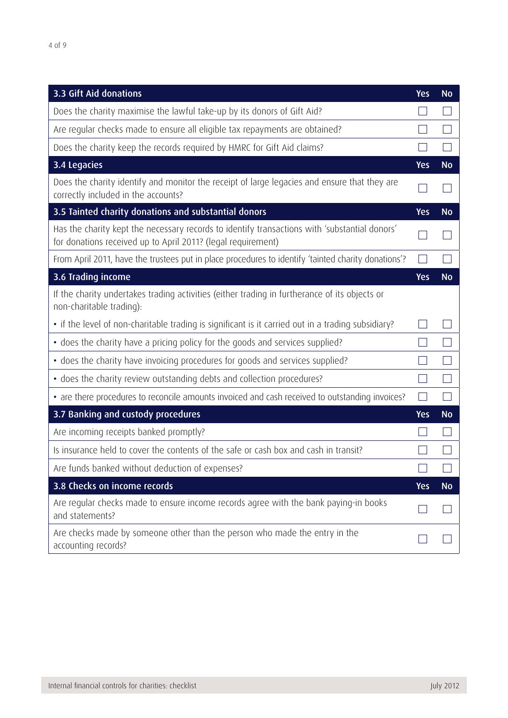| 3.3 Gift Aid donations                                                                                                                                        | <b>Yes</b>   | <b>No</b> |
|---------------------------------------------------------------------------------------------------------------------------------------------------------------|--------------|-----------|
| Does the charity maximise the lawful take-up by its donors of Gift Aid?                                                                                       |              |           |
| Are regular checks made to ensure all eligible tax repayments are obtained?                                                                                   |              |           |
| Does the charity keep the records required by HMRC for Gift Aid claims?                                                                                       |              |           |
| 3.4 Legacies                                                                                                                                                  | <b>Yes</b>   | <b>No</b> |
| Does the charity identify and monitor the receipt of large legacies and ensure that they are<br>correctly included in the accounts?                           |              |           |
| 3.5 Tainted charity donations and substantial donors                                                                                                          | <b>Yes</b>   | <b>No</b> |
| Has the charity kept the necessary records to identify transactions with 'substantial donors'<br>for donations received up to April 2011? (legal requirement) |              |           |
| From April 2011, have the trustees put in place procedures to identify 'tainted charity donations'?                                                           |              |           |
| 3.6 Trading income                                                                                                                                            | <b>Yes</b>   | <b>No</b> |
| If the charity undertakes trading activities (either trading in furtherance of its objects or<br>non-charitable trading):                                     |              |           |
| • if the level of non-charitable trading is significant is it carried out in a trading subsidiary?                                                            |              |           |
| • does the charity have a pricing policy for the goods and services supplied?                                                                                 |              |           |
| • does the charity have invoicing procedures for goods and services supplied?                                                                                 |              |           |
| • does the charity review outstanding debts and collection procedures?                                                                                        | $\mathbf{L}$ |           |
| • are there procedures to reconcile amounts invoiced and cash received to outstanding invoices?                                                               | $\mathbf{I}$ |           |
| 3.7 Banking and custody procedures                                                                                                                            | <b>Yes</b>   | <b>No</b> |
| Are incoming receipts banked promptly?                                                                                                                        |              |           |
| Is insurance held to cover the contents of the safe or cash box and cash in transit?                                                                          |              |           |
| Are funds banked without deduction of expenses?                                                                                                               |              |           |
| 3.8 Checks on income records                                                                                                                                  | <b>Yes</b>   | <b>No</b> |
| Are regular checks made to ensure income records agree with the bank paying-in books<br>and statements?                                                       |              |           |
| Are checks made by someone other than the person who made the entry in the<br>accounting records?                                                             |              |           |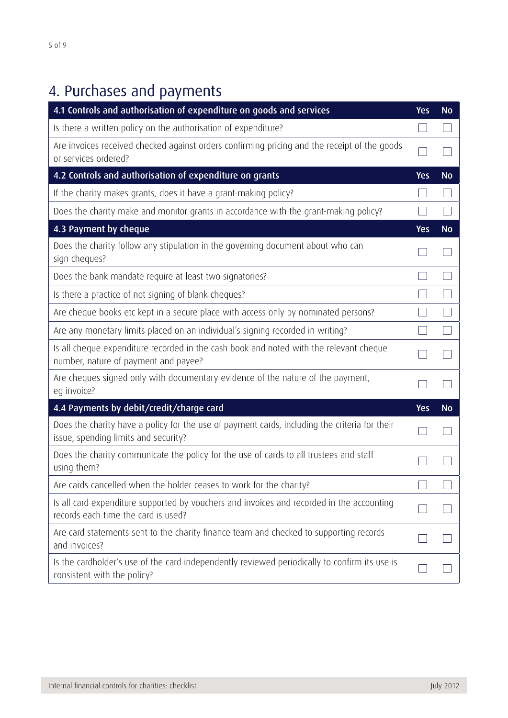## 4. Purchases and payments

| 4.1 Controls and authorisation of expenditure on goods and services                                                                   | <b>Yes</b> | <b>No</b> |
|---------------------------------------------------------------------------------------------------------------------------------------|------------|-----------|
| Is there a written policy on the authorisation of expenditure?                                                                        |            |           |
| Are invoices received checked against orders confirming pricing and the receipt of the goods<br>or services ordered?                  |            |           |
| 4.2 Controls and authorisation of expenditure on grants                                                                               | <b>Yes</b> | <b>No</b> |
| If the charity makes grants, does it have a grant-making policy?                                                                      |            |           |
| Does the charity make and monitor grants in accordance with the grant-making policy?                                                  |            |           |
| 4.3 Payment by cheque                                                                                                                 | <b>Yes</b> | <b>No</b> |
| Does the charity follow any stipulation in the governing document about who can<br>sign cheques?                                      |            |           |
| Does the bank mandate require at least two signatories?                                                                               |            |           |
| Is there a practice of not signing of blank cheques?                                                                                  |            |           |
| Are cheque books etc kept in a secure place with access only by nominated persons?                                                    |            |           |
| Are any monetary limits placed on an individual's signing recorded in writing?                                                        |            |           |
| Is all cheque expenditure recorded in the cash book and noted with the relevant cheque<br>number, nature of payment and payee?        |            |           |
| Are cheques signed only with documentary evidence of the nature of the payment,<br>eg invoice?                                        |            |           |
| 4.4 Payments by debit/credit/charge card                                                                                              | <b>Yes</b> | <b>No</b> |
| Does the charity have a policy for the use of payment cards, including the criteria for their<br>issue, spending limits and security? |            |           |
| Does the charity communicate the policy for the use of cards to all trustees and staff<br>using them?                                 |            |           |
| Are cards cancelled when the holder ceases to work for the charity?                                                                   |            |           |
| Is all card expenditure supported by vouchers and invoices and recorded in the accounting<br>records each time the card is used?      |            |           |
| Are card statements sent to the charity finance team and checked to supporting records<br>and invoices?                               |            |           |
| Is the cardholder's use of the card independently reviewed periodically to confirm its use is<br>consistent with the policy?          |            |           |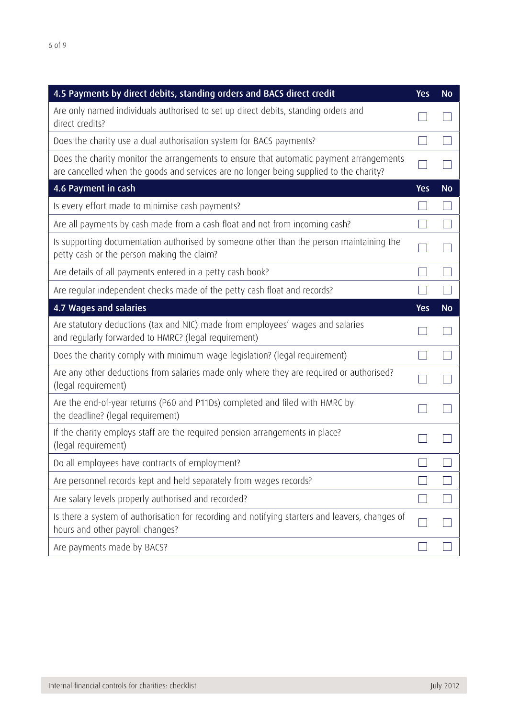| 4.5 Payments by direct debits, standing orders and BACS direct credit                                                                                                             | <b>Yes</b> | <b>No</b> |
|-----------------------------------------------------------------------------------------------------------------------------------------------------------------------------------|------------|-----------|
| Are only named individuals authorised to set up direct debits, standing orders and<br>direct credits?                                                                             |            |           |
| Does the charity use a dual authorisation system for BACS payments?                                                                                                               |            |           |
| Does the charity monitor the arrangements to ensure that automatic payment arrangements<br>are cancelled when the goods and services are no longer being supplied to the charity? |            |           |
| 4.6 Payment in cash                                                                                                                                                               | <b>Yes</b> | <b>No</b> |
| Is every effort made to minimise cash payments?                                                                                                                                   |            |           |
| Are all payments by cash made from a cash float and not from incoming cash?                                                                                                       |            |           |
| Is supporting documentation authorised by someone other than the person maintaining the<br>petty cash or the person making the claim?                                             |            |           |
| Are details of all payments entered in a petty cash book?                                                                                                                         |            |           |
| Are regular independent checks made of the petty cash float and records?                                                                                                          |            |           |
| 4.7 Wages and salaries                                                                                                                                                            | <b>Yes</b> | <b>No</b> |
| Are statutory deductions (tax and NIC) made from employees' wages and salaries<br>and regularly forwarded to HMRC? (legal requirement)                                            |            |           |
| Does the charity comply with minimum wage legislation? (legal requirement)                                                                                                        |            |           |
| Are any other deductions from salaries made only where they are required or authorised?<br>(legal requirement)                                                                    |            |           |
| Are the end-of-year returns (P60 and P11Ds) completed and filed with HMRC by<br>the deadline? (legal requirement)                                                                 |            |           |
| If the charity employs staff are the required pension arrangements in place?<br>(legal requirement)                                                                               |            |           |
| Do all employees have contracts of employment?                                                                                                                                    |            |           |
| Are personnel records kept and held separately from wages records?                                                                                                                |            |           |
| Are salary levels properly authorised and recorded?                                                                                                                               |            |           |
| Is there a system of authorisation for recording and notifying starters and leavers, changes of<br>hours and other payroll changes?                                               |            |           |
| Are payments made by BACS?                                                                                                                                                        |            |           |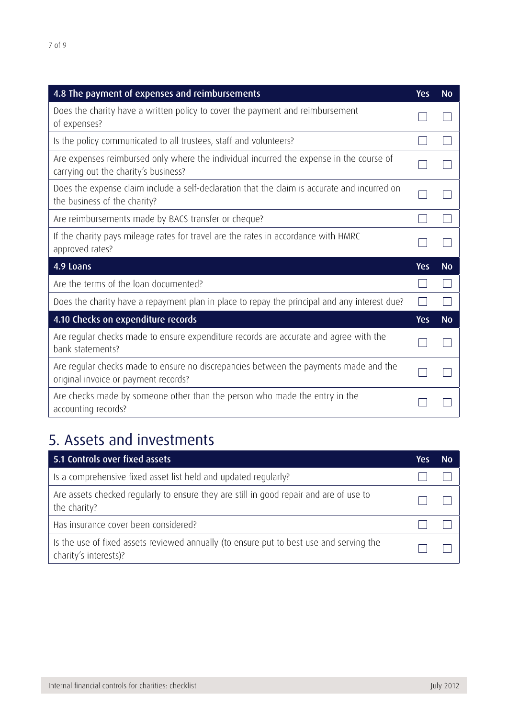| 4.8 The payment of expenses and reimbursements                                                                                  | Yes.       | <b>No</b> |
|---------------------------------------------------------------------------------------------------------------------------------|------------|-----------|
| Does the charity have a written policy to cover the payment and reimbursement<br>of expenses?                                   |            |           |
| Is the policy communicated to all trustees, staff and volunteers?                                                               |            |           |
| Are expenses reimbursed only where the individual incurred the expense in the course of<br>carrying out the charity's business? |            |           |
| Does the expense claim include a self-declaration that the claim is accurate and incurred on<br>the business of the charity?    |            |           |
| Are reimbursements made by BACS transfer or cheque?                                                                             |            |           |
| If the charity pays mileage rates for travel are the rates in accordance with HMRC<br>approved rates?                           |            |           |
| 4.9 Loans                                                                                                                       | <b>Yes</b> | <b>No</b> |
| Are the terms of the loan documented?                                                                                           |            |           |
| Does the charity have a repayment plan in place to repay the principal and any interest due?                                    |            |           |
| 4.10 Checks on expenditure records                                                                                              | <b>Yes</b> | <b>No</b> |
| Are regular checks made to ensure expenditure records are accurate and agree with the<br>bank statements?                       |            |           |
| Are regular checks made to ensure no discrepancies between the payments made and the<br>original invoice or payment records?    |            |           |
| Are checks made by someone other than the person who made the entry in the<br>accounting records?                               |            |           |

### 5. Assets and investments

| 5.1 Controls over fixed assets                                                                                   | Yes | N٥ |
|------------------------------------------------------------------------------------------------------------------|-----|----|
| Is a comprehensive fixed asset list held and updated regularly?                                                  |     |    |
| Are assets checked regularly to ensure they are still in good repair and are of use to<br>the charity?           |     |    |
| Has insurance cover been considered?                                                                             |     |    |
| Is the use of fixed assets reviewed annually (to ensure put to best use and serving the<br>charity's interests)? |     |    |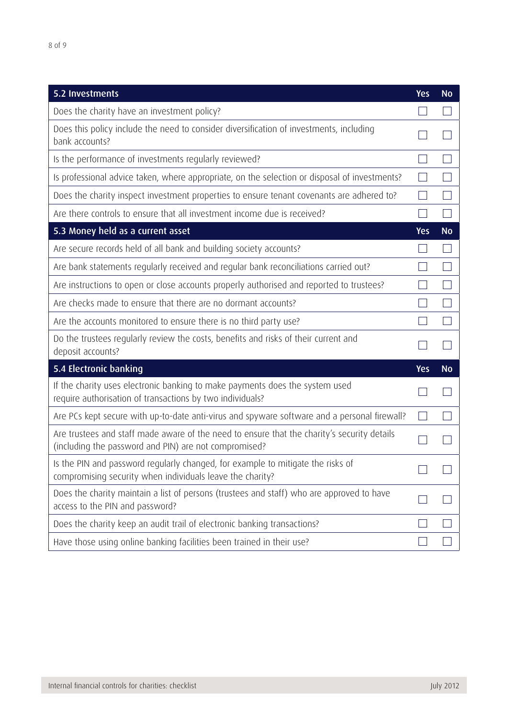| 5.2 Investments                                                                                                                                      | <b>Yes</b> | <b>No</b> |
|------------------------------------------------------------------------------------------------------------------------------------------------------|------------|-----------|
| Does the charity have an investment policy?                                                                                                          |            |           |
| Does this policy include the need to consider diversification of investments, including<br>bank accounts?                                            |            |           |
| Is the performance of investments regularly reviewed?                                                                                                |            |           |
| Is professional advice taken, where appropriate, on the selection or disposal of investments?                                                        |            |           |
| Does the charity inspect investment properties to ensure tenant covenants are adhered to?                                                            |            |           |
| Are there controls to ensure that all investment income due is received?                                                                             |            |           |
| 5.3 Money held as a current asset                                                                                                                    | <b>Yes</b> | <b>No</b> |
| Are secure records held of all bank and building society accounts?                                                                                   |            |           |
| Are bank statements regularly received and regular bank reconciliations carried out?                                                                 |            |           |
| Are instructions to open or close accounts properly authorised and reported to trustees?                                                             |            |           |
| Are checks made to ensure that there are no dormant accounts?                                                                                        |            |           |
| Are the accounts monitored to ensure there is no third party use?                                                                                    |            |           |
| Do the trustees regularly review the costs, benefits and risks of their current and<br>deposit accounts?                                             |            |           |
| 5.4 Electronic banking                                                                                                                               | <b>Yes</b> | <b>No</b> |
| If the charity uses electronic banking to make payments does the system used<br>require authorisation of transactions by two individuals?            |            |           |
| Are PCs kept secure with up-to-date anti-virus and spyware software and a personal firewall?                                                         |            |           |
| Are trustees and staff made aware of the need to ensure that the charity's security details<br>(including the password and PIN) are not compromised? |            |           |
| Is the PIN and password regularly changed, for example to mitigate the risks of<br>compromising security when individuals leave the charity?         |            |           |
| Does the charity maintain a list of persons (trustees and staff) who are approved to have<br>access to the PIN and password?                         |            |           |
| Does the charity keep an audit trail of electronic banking transactions?                                                                             |            |           |
| Have those using online banking facilities been trained in their use?                                                                                |            |           |